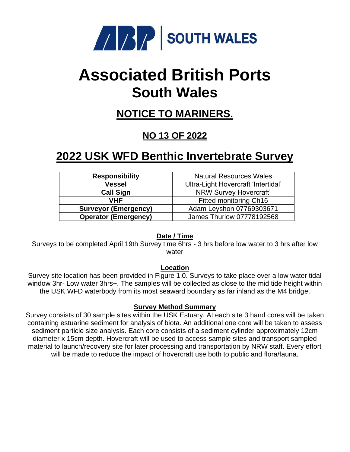

# **Associated British Ports South Wales**

### **NOTICE TO MARINERS.**

### **NO 13 OF 2022**

## **2022 USK WFD Benthic Invertebrate Survey**

| <b>Responsibility</b>       | <b>Natural Resources Wales</b>      |
|-----------------------------|-------------------------------------|
| <b>Vessel</b>               | Ultra-Light Hovercraft 'Intertidal' |
| <b>Call Sign</b>            | NRW Survey Hovercraft'              |
| <b>VHF</b>                  | Fitted monitoring Ch16              |
| <b>Surveyor (Emergency)</b> | Adam Leyshon 07769303671            |
| <b>Operator (Emergency)</b> | James Thurlow 07778192568           |

#### **Date / Time**

Surveys to be completed April 19th Survey time 6hrs - 3 hrs before low water to 3 hrs after low water

#### **Location**

Survey site location has been provided in Figure 1.0. Surveys to take place over a low water tidal window 3hr- Low water 3hrs+. The samples will be collected as close to the mid tide height within the USK WFD waterbody from its most seaward boundary as far inland as the M4 bridge.

#### **Survey Method Summary**

Survey consists of 30 sample sites within the USK Estuary. At each site 3 hand cores will be taken containing estuarine sediment for analysis of biota. An additional one core will be taken to assess sediment particle size analysis. Each core consists of a sediment cylinder approximately 12cm diameter x 15cm depth. Hovercraft will be used to access sample sites and transport sampled material to launch/recovery site for later processing and transportation by NRW staff. Every effort will be made to reduce the impact of hovercraft use both to public and flora/fauna.